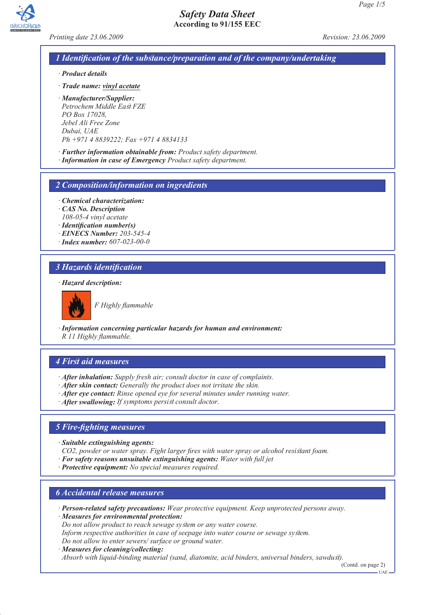

*Printing date 23.06.2009 Revision: 23.06.2009*

### *1 Identification of the substance/preparation and of the company/undertaking*

- *· Product details*
- *· Trade name: vinyl acetate*
- *· Manufacturer/Supplier: Petrochem Middle East FZE PO Box 17028, Jebel Ali Free Zone Dubai, UAE Ph +971 4 8839222; Fax +971 4 8834133*
- *· Further information obtainable from: Product safety department.*
- *· Information in case of Emergency Product safety department.*

#### *2 Composition/information on ingredients*

- *· Chemical characterization:*
- *· CAS No. Description 108-05-4 vinyl acetate*
- *· Identification number(s)*
- *· EINECS Number: 203-545-4*
- *· Index number: 607-023-00-0*

#### *3 Hazards identification*

#### *· Hazard description:*



*F Highly flammable*

*· Information concerning particular hazards for human and environment: R 11 Highly flammable.*

#### *4 First aid measures*

- *· After inhalation: Supply fresh air; consult doctor in case of complaints.*
- *· After skin contact: Generally the product does not irritate the skin.*
- *· After eye contact: Rinse opened eye for several minutes under running water.*
- *· After swallowing: If symptoms persist consult doctor.*

### *5 Fire-fighting measures*

- *· Suitable extinguishing agents:*
- *CO2, powder or water spray. Fight larger fires with water spray or alcohol resistant foam.*
- *· For safety reasons unsuitable extinguishing agents: Water with full jet*
- *· Protective equipment: No special measures required.*

### *6 Accidental release measures*

- *· Person-related safety precautions: Wear protective equipment. Keep unprotected persons away.*
- *· Measures for environmental protection:*
- *Do not allow product to reach sewage system or any water course.*
- *Inform respective authorities in case of seepage into water course or sewage system.*
- *Do not allow to enter sewers/ surface or ground water.*
- *· Measures for cleaning/collecting:*

*Absorb with liquid-binding material (sand, diatomite, acid binders, universal binders, sawdust).*

(Contd. on page 2) UAE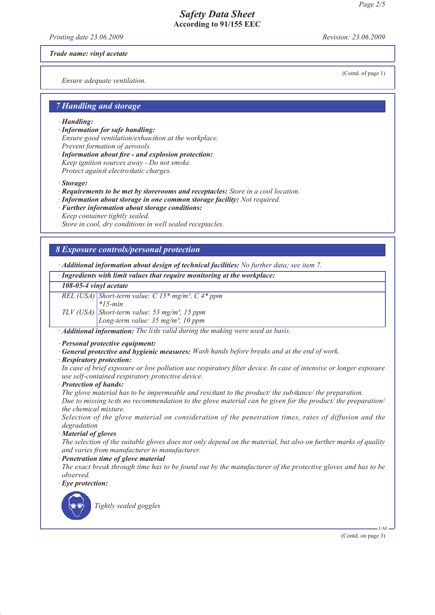*Printing date 23.06.2009 Revision: 23.06.2009*

*Trade name: vinyl acetate*

*Ensure adequate ventilation.*

(Contd. of page 1)

# *7 Handling and storage*

#### *· Handling:*

- *· Information for safe handling: Ensure good ventilation/exhaustion at the workplace. Prevent formation of aerosols.*
- *· Information about fire and explosion protection: Keep ignition sources away - Do not smoke. Protect against electrostatic charges.*

*· Storage:*

- *· Requirements to be met by storerooms and receptacles: Store in a cool location.*
- *· Information about storage in one common storage facility: Not required.*
- *· Further information about storage conditions: Keep container tightly sealed.*

*Store in cool, dry conditions in well sealed receptacles.*

#### *8 Exposure controls/personal protection*

*· Additional information about design of technical facilities: No further data; see item 7.*

*· Ingredients with limit values that require monitoring at the workplace:*

#### *108-05-4 vinyl acetate*

| REL (USA) Short-term value: $C 15*$ mg/m <sup>3</sup> , $C 4*$ ppm                                             |
|----------------------------------------------------------------------------------------------------------------|
|                                                                                                                |
|                                                                                                                |
| TLV (USA)<br>Short-term value: 53 mg/m <sup>3</sup> , 15 ppm<br>Long-term value: 35 mg/m <sup>3</sup> , 10 ppm |
|                                                                                                                |

*· Additional information: The lists valid during the making were used as basis.*

*· Personal protective equipment:*

- *· General protective and hygienic measures: Wash hands before breaks and at the end of work.*
- *· Respiratory protection:*

*In case of brief exposure or low pollution use respiratory filter device. In case of intensive or longer exposure use self-contained respiratory protective device.*

*· Protection of hands:*

*The glove material has to be impermeable and resistant to the product/ the substance/ the preparation. Due to missing tests no recommendation to the glove material can be given for the product/ the preparation/ the chemical mixture.*

*Selection of the glove material on consideration of the penetration times, rates of diffusion and the degradation*

*· Material of gloves*

*The selection of the suitable gloves does not only depend on the material, but also on further marks of quality and varies from manufacturer to manufacturer.*

*· Penetration time of glove material*

*The exact break through time has to be found out by the manufacturer of the protective gloves and has to be observed.*

*· Eye protection:*



*Tightly sealed goggles*

(Contd. on page 3)

UAE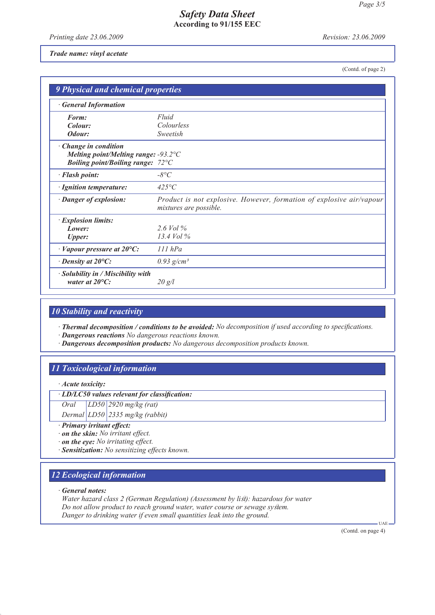*Printing date 23.06.2009 Revision: 23.06.2009*

#### *Trade name: vinyl acetate*

(Contd. of page 2)

| <b>9 Physical and chemical properties</b>                                                     |                                                                                                |  |  |
|-----------------------------------------------------------------------------------------------|------------------------------------------------------------------------------------------------|--|--|
| <b>General Information</b>                                                                    |                                                                                                |  |  |
| Form:                                                                                         | Fluid                                                                                          |  |  |
| Colour:                                                                                       | Colourless                                                                                     |  |  |
| Odour:                                                                                        | Sweetish                                                                                       |  |  |
| Change in condition                                                                           |                                                                                                |  |  |
| Melting point/Melting range: $-93.2$ °C<br><i>Boiling point/Boiling range:</i> $72^{\circ}$ C |                                                                                                |  |  |
|                                                                                               | $-8^{\circ}C$                                                                                  |  |  |
| · Flash point:                                                                                |                                                                                                |  |  |
| · Ignition temperature:                                                                       | $425^{\circ}C$                                                                                 |  |  |
| · Danger of explosion:                                                                        | Product is not explosive. However, formation of explosive air/vapour<br>mixtures are possible. |  |  |
| · Explosion limits:                                                                           |                                                                                                |  |  |
| Lower:                                                                                        | $2.6$ Vol %                                                                                    |  |  |
| <b>Upper:</b>                                                                                 | 13.4 Vol $\%$                                                                                  |  |  |
| $\cdot$ Vapour pressure at 20 $\degree$ C:                                                    | $111$ $hPa$                                                                                    |  |  |
| $\cdot$ Density at 20 $\mathrm{^{\circ}C:}$                                                   | $0.93$ g/cm <sup>3</sup>                                                                       |  |  |
| $\cdot$ Solubility in / Miscibility with<br>water at $20^{\circ}$ C:                          | 20 g/l                                                                                         |  |  |

### *10 Stability and reactivity*

*· Thermal decomposition / conditions to be avoided: No decomposition if used according to specifications.*

*· Dangerous reactions No dangerous reactions known.*

*· Dangerous decomposition products: No dangerous decomposition products known.*

# *11 Toxicological information*

*· Acute toxicity:*

*· LD/LC50 values relevant for classification:*

*Oral LD50 2920 mg/kg (rat)*

*Dermal LD50 2335 mg/kg (rabbit)*

- *· Primary irritant effect:*
- *· on the skin: No irritant effect.*
- *· on the eye: No irritating effect.*
- *· Sensitization: No sensitizing effects known.*

# *12 Ecological information*

*· General notes:*

*Water hazard class 2 (German Regulation) (Assessment by list): hazardous for water Do not allow product to reach ground water, water course or sewage system. Danger to drinking water if even small quantities leak into the ground.*

(Contd. on page 4)

 $H[A]$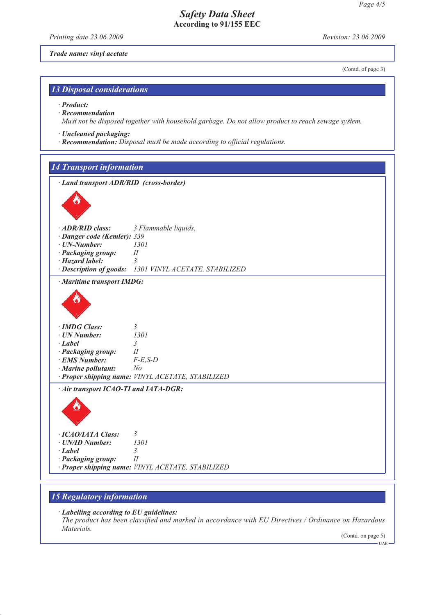*Printing date 23.06.2009 Revision: 23.06.2009*

*Trade name: vinyl acetate*

(Contd. of page 3)

# *13 Disposal considerations*

*· Product:*

*· Recommendation*

*Must not be disposed together with household garbage. Do not allow product to reach sewage system.*

- *· Uncleaned packaging:*
- *· Recommendation: Disposal must be made according to official regulations.*

### *14 Transport information*

*· Land transport ADR/RID (cross-border)*



| $\cdot$ ADR/RID class:             | 3 Flammable liquids. |
|------------------------------------|----------------------|
| · <b>Danger code (Kemler): 339</b> |                      |
| · UN-Number:                       | 1301                 |
| · Packaging group:                 | $^{\prime\prime}$    |

- *· Hazard label: 3*
- *· Description of goods: 1301 VINYL ACETATE, STABILIZED*

*· Maritime transport IMDG:*



| · IMDG Class:             |                                                   |
|---------------------------|---------------------------------------------------|
| · UN Number:              | 1301                                              |
| $\cdot$ Label             |                                                   |
| · Packaging group:        | Н                                                 |
| <b>EMS Number:</b>        | $F-E.S-D$                                         |
| $\cdot$ Marine pollutant: | No                                                |
|                           | · Proper shipping name: VINYL ACETATE, STABILIZED |
|                           |                                                   |

*· Air transport ICAO-TI and IATA-DGR:*



### *15 Regulatory information*

*· Labelling according to EU guidelines:*

*The product has been classified and marked in accordance with EU Directives / Ordinance on Hazardous Materials.*

(Contd. on page 5)  $-<sub>UAE</sub>$